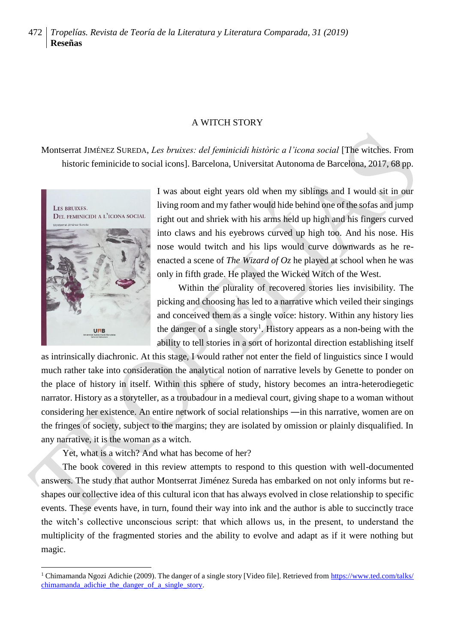## A WITCH STORY

Montserrat JIMÉNEZ SUREDA, *Les bruixes: del feminicidi històric a l'icona social* [The witches. From historic feminicide to social icons]. Barcelona, Universitat Autonoma de Barcelona, 2017, 68 pp.



<u>.</u>

I was about eight years old when my siblings and I would sit in our living room and my father would hide behind one of the sofas and jump right out and shriek with his arms held up high and his fingers curved into claws and his eyebrows curved up high too. And his nose. His nose would twitch and his lips would curve downwards as he reenacted a scene of *The Wizard of Oz* he played at school when he was only in fifth grade. He played the Wicked Witch of the West.

Within the plurality of recovered stories lies invisibility. The picking and choosing has led to a narrative which veiled their singings and conceived them as a single voice: history. Within any history lies the danger of a single story<sup>1</sup>. History appears as a non-being with the ability to tell stories in a sort of horizontal direction establishing itself

as intrinsically diachronic. At this stage, I would rather not enter the field of linguistics since I would much rather take into consideration the analytical notion of narrative levels by Genette to ponder on the place of history in itself. Within this sphere of study, history becomes an intra-heterodiegetic narrator. History as a storyteller, as a troubadour in a medieval court, giving shape to a woman without considering her existence. An entire network of social relationships ―in this narrative, women are on the fringes of society, subject to the margins; they are isolated by omission or plainly disqualified. In any narrative, it is the woman as a witch.

Yet, what is a witch? And what has become of her?

The book covered in this review attempts to respond to this question with well-documented answers. The study that author Montserrat Jiménez Sureda has embarked on not only informs but reshapes our collective idea of this cultural icon that has always evolved in close relationship to specific events. These events have, in turn, found their way into ink and the author is able to succinctly trace the witch's collective unconscious script: that which allows us, in the present, to understand the multiplicity of the fragmented stories and the ability to evolve and adapt as if it were nothing but magic.

<sup>&</sup>lt;sup>1</sup> Chimamanda Ngozi Adichie (2009). The danger of a single story [Video file]. Retrieved from [https://www.ted.com/talks/](https://www.ted.com/talks/chimamanda_adichie_the_danger_of_a_single_story) [chimamanda\\_adichie\\_the\\_danger\\_of\\_a\\_single\\_story.](https://www.ted.com/talks/chimamanda_adichie_the_danger_of_a_single_story)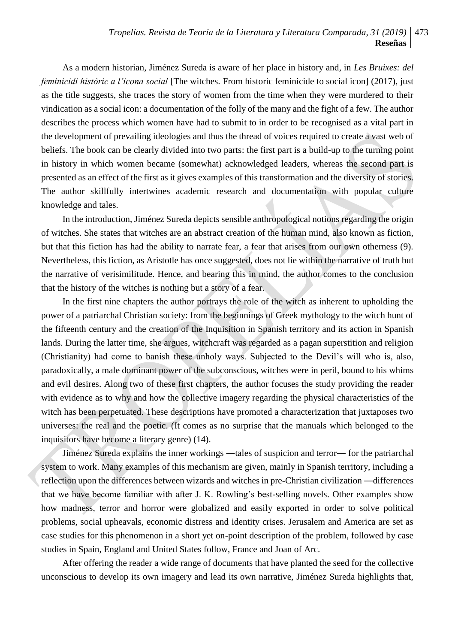## *Tropelías. Revista de Teoría de la Literatura y Literatura Comparada, 31 (2019)* 473 **Reseñas**

As a modern historian, Jiménez Sureda is aware of her place in history and, in *Les Bruixes: del feminicidi històric a l'icona social* [The witches. From historic feminicide to social icon] (2017), just as the title suggests, she traces the story of women from the time when they were murdered to their vindication as a social icon: a documentation of the folly of the many and the fight of a few. The author describes the process which women have had to submit to in order to be recognised as a vital part in the development of prevailing ideologies and thus the thread of voices required to create a vast web of beliefs. The book can be clearly divided into two parts: the first part is a build-up to the turning point in history in which women became (somewhat) acknowledged leaders, whereas the second part is presented as an effect of the first as it gives examples of this transformation and the diversity of stories. The author skillfully intertwines academic research and documentation with popular culture knowledge and tales.

In the introduction, Jiménez Sureda depicts sensible anthropological notions regarding the origin of witches. She states that witches are an abstract creation of the human mind, also known as fiction, but that this fiction has had the ability to narrate fear, a fear that arises from our own otherness (9). Nevertheless, this fiction, as Aristotle has once suggested, does not lie within the narrative of truth but the narrative of verisimilitude. Hence, and bearing this in mind, the author comes to the conclusion that the history of the witches is nothing but a story of a fear.

In the first nine chapters the author portrays the role of the witch as inherent to upholding the power of a patriarchal Christian society: from the beginnings of Greek mythology to the witch hunt of the fifteenth century and the creation of the Inquisition in Spanish territory and its action in Spanish lands. During the latter time, she argues, witchcraft was regarded as a pagan superstition and religion (Christianity) had come to banish these unholy ways. Subjected to the Devil's will who is, also, paradoxically, a male dominant power of the subconscious, witches were in peril, bound to his whims and evil desires. Along two of these first chapters, the author focuses the study providing the reader with evidence as to why and how the collective imagery regarding the physical characteristics of the witch has been perpetuated. These descriptions have promoted a characterization that juxtaposes two universes: the real and the poetic. (It comes as no surprise that the manuals which belonged to the inquisitors have become a literary genre) (14).

Jiménez Sureda explains the inner workings ―tales of suspicion and terror― for the patriarchal system to work. Many examples of this mechanism are given, mainly in Spanish territory, including a reflection upon the differences between wizards and witches in pre-Christian civilization —differences that we have become familiar with after J. K. Rowling's best-selling novels. Other examples show how madness, terror and horror were globalized and easily exported in order to solve political problems, social upheavals, economic distress and identity crises. Jerusalem and America are set as case studies for this phenomenon in a short yet on-point description of the problem, followed by case studies in Spain, England and United States follow, France and Joan of Arc.

After offering the reader a wide range of documents that have planted the seed for the collective unconscious to develop its own imagery and lead its own narrative, Jiménez Sureda highlights that,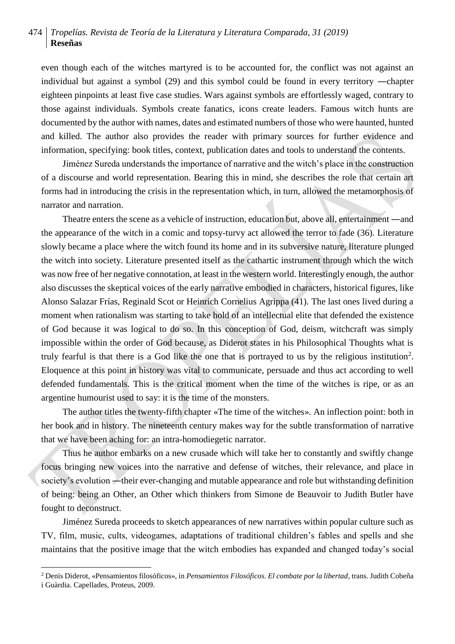## 474 *Tropelías. Revista de Teoría de la Literatura y Literatura Comparada, 31 (2019)* **Reseñas**

even though each of the witches martyred is to be accounted for, the conflict was not against an individual but against a symbol (29) and this symbol could be found in every territory ―chapter eighteen pinpoints at least five case studies. Wars against symbols are effortlessly waged, contrary to those against individuals. Symbols create fanatics, icons create leaders. Famous witch hunts are documented by the author with names, dates and estimated numbers of those who were haunted, hunted and killed. The author also provides the reader with primary sources for further evidence and information, specifying: book titles, context, publication dates and tools to understand the contents.

Jiménez Sureda understands the importance of narrative and the witch's place in the construction of a discourse and world representation. Bearing this in mind, she describes the role that certain art forms had in introducing the crisis in the representation which, in turn, allowed the metamorphosis of narrator and narration.

Theatre enters the scene as a vehicle of instruction, education but, above all, entertainment ―and the appearance of the witch in a comic and topsy-turvy act allowed the terror to fade (36). Literature slowly became a place where the witch found its home and in its subversive nature, literature plunged the witch into society. Literature presented itself as the cathartic instrument through which the witch was now free of her negative connotation, at least in the western world. Interestingly enough, the author also discusses the skeptical voices of the early narrative embodied in characters, historical figures, like Alonso Salazar Frías, Reginald Scot or Heinrich Cornelius Agrippa (41). The last ones lived during a moment when rationalism was starting to take hold of an intellectual elite that defended the existence of God because it was logical to do so. In this conception of God, deism, witchcraft was simply impossible within the order of God because, as Diderot states in his Philosophical Thoughts what is truly fearful is that there is a God like the one that is portrayed to us by the religious institution<sup>2</sup>. Eloquence at this point in history was vital to communicate, persuade and thus act according to well defended fundamentals. This is the critical moment when the time of the witches is ripe, or as an argentine humourist used to say: it is the time of the monsters.

The author titles the twenty-fifth chapter «The time of the witches». An inflection point: both in her book and in history. The nineteenth century makes way for the subtle transformation of narrative that we have been aching for: an intra-homodiegetic narrator.

Thus he author embarks on a new crusade which will take her to constantly and swiftly change focus bringing new voices into the narrative and defense of witches, their relevance, and place in society's evolution ―their ever-changing and mutable appearance and role but withstanding definition of being: being an Other, an Other which thinkers from Simone de Beauvoir to Judith Butler have fought to deconstruct.

Jiménez Sureda proceeds to sketch appearances of new narratives within popular culture such as TV, film, music, cults, videogames, adaptations of traditional children's fables and spells and she maintains that the positive image that the witch embodies has expanded and changed today's social

<u>.</u>

<sup>2</sup> Denis Diderot, «Pensamientos filosóficos», in *Pensamientos Filosóficos. El combate por la libertad*, trans. Judith Cobeña

i Guàrdia. Capellades, Proteus, 2009.